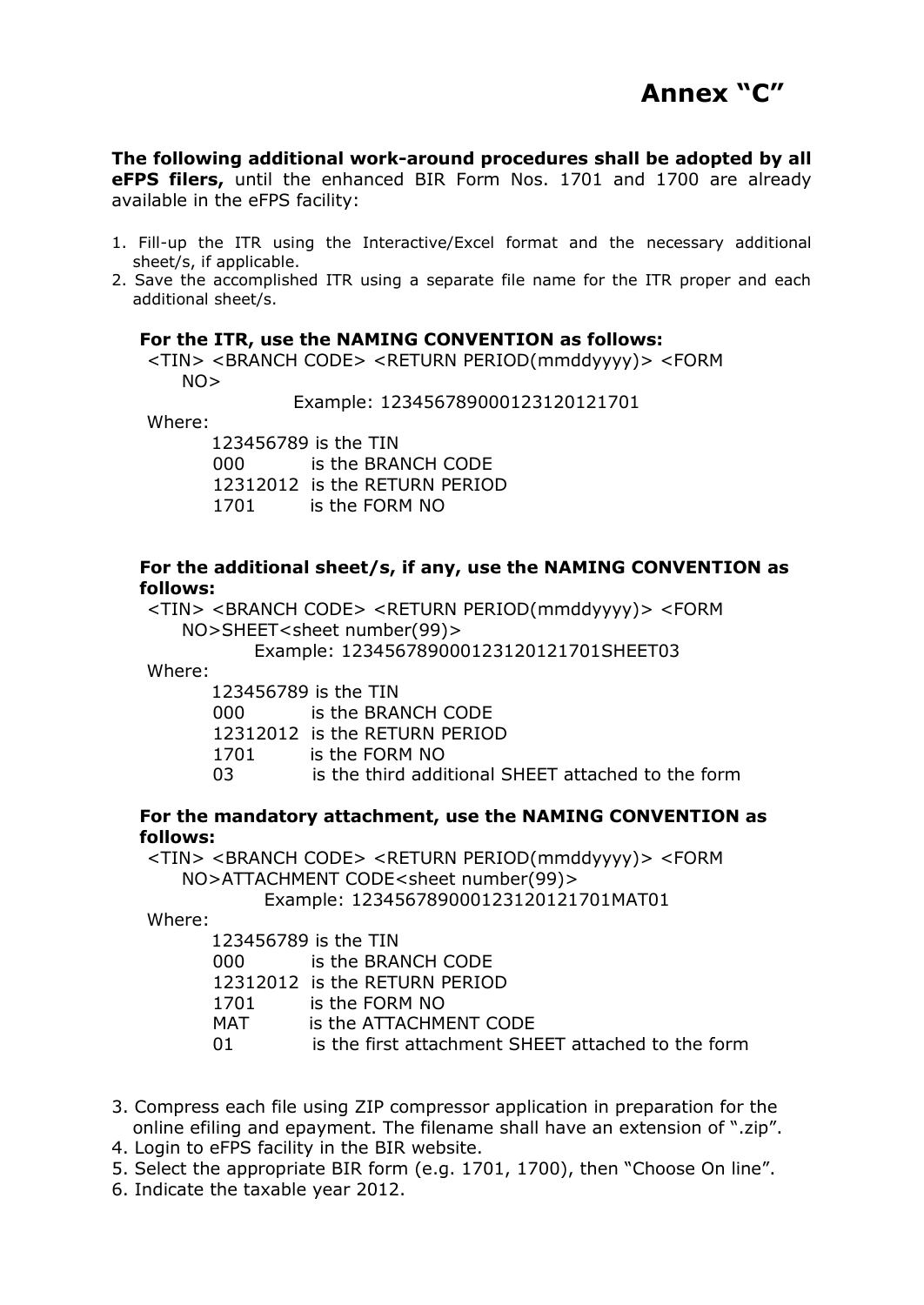

**The following additional work-around procedures shall be adopted by all eFPS filers,** until the enhanced BIR Form Nos. 1701 and 1700 are already available in the eFPS facility:

- 1. Fill-up the ITR using the Interactive/Excel format and the necessary additional sheet/s, if applicable.
- 2. Save the accomplished ITR using a separate file name for the ITR proper and each additional sheet/s.

## **For the ITR, use the NAMING CONVENTION as follows:**

<TIN> <BRANCH CODE> <RETURN PERIOD(mmddyyyy)> <FORM  $NO>$ 

Example: 123456789000123120121701

Where:

 123456789 is the TIN 000 is the BRANCH CODE 12312012 is the RETURN PERIOD 1701 is the FORM NO

## **For the additional sheet/s, if any, use the NAMING CONVENTION as follows:**

<TIN> <BRANCH CODE> <RETURN PERIOD(mmddyyyy)> <FORM NO>SHEET<sheet number(99)>

Example: 123456789000123120121701SHEET03

Where:

 123456789 is the TIN 000 is the BRANCH CODE 12312012 is the RETURN PERIOD 1701 is the FORM NO 03 is the third additional SHEET attached to the form

## **For the mandatory attachment, use the NAMING CONVENTION as follows:**

<TIN> <BRANCH CODE> <RETURN PERIOD(mmddyyyy)> <FORM NO>ATTACHMENT CODE<sheet number(99)> Example: 123456789000123120121701MAT01

Where:

|       | 123456789 is the TIN                               |  |
|-------|----------------------------------------------------|--|
| 000 - | is the BRANCH CODE                                 |  |
|       | 12312012 is the RETURN PERIOD                      |  |
| 1701  | is the FORM NO                                     |  |
| MAT   | is the ATTACHMENT CODE                             |  |
| O 1   | is the first attachment SHEET attached to the form |  |
|       |                                                    |  |

3. Compress each file using ZIP compressor application in preparation for the online efiling and epayment. The filename shall have an extension of ".zip".

4. Login to eFPS facility in the BIR website.

5. Select the appropriate BIR form (e.g. 1701, 1700), then "Choose On line".

6. Indicate the taxable year 2012.